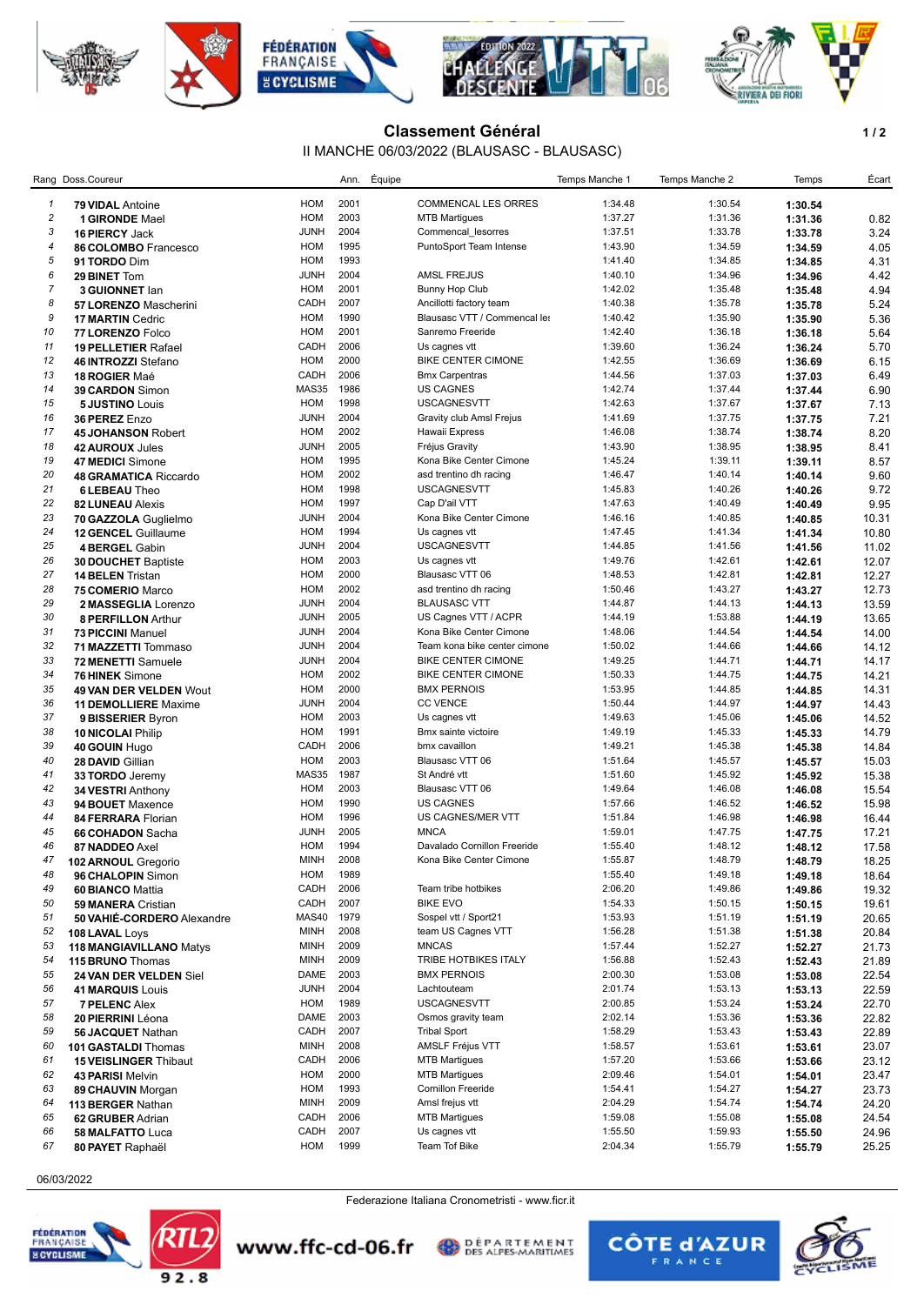

## **Classement Général 1/2**

## II MANCHE 06/03/2022 (BLAUSASC - BLAUSASC)

|                  | Rang Doss.Coureur            |              | Ann.         | Équipe |                                                 | Temps Manche 1 | Temps Manche 2     | Temps   | Écart |
|------------------|------------------------------|--------------|--------------|--------|-------------------------------------------------|----------------|--------------------|---------|-------|
| 1                | <b>79 VIDAL Antoine</b>      | HOM          | 2001         |        | <b>COMMENCAL LES ORRES</b>                      | 1:34.48        | 1:30.54            | 1:30.54 |       |
| $\sqrt{2}$       | <b>1 GIRONDE Mael</b>        | HOM          | 2003         |        | <b>MTB Martigues</b>                            | 1:37.27        | 1:31.36            | 1:31.36 | 0.82  |
| 3                | 16 PIERCY Jack               | <b>JUNH</b>  | 2004         |        | Commencal_lesorres                              | 1:37.51        | 1:33.78            | 1:33.78 | 3.24  |
| 4                | 86 COLOMBO Francesco         | HOM          | 1995         |        | PuntoSport Team Intense                         | 1:43.90        | 1:34.59            | 1:34.59 | 4.05  |
| $\sqrt{5}$       | 91 TORDO Dim                 | HOM          | 1993         |        |                                                 | 1:41.40        | 1:34.85            | 1:34.85 | 4.31  |
| 6                | 29 BINET Tom                 | <b>JUNH</b>  | 2004         |        | <b>AMSL FREJUS</b>                              | 1:40.10        | 1:34.96            | 1:34.96 | 4.42  |
| $\boldsymbol{7}$ | 3 GUIONNET lan               | HOM          | 2001         |        | <b>Bunny Hop Club</b>                           | 1:42.02        | 1:35.48            | 1:35.48 | 4.94  |
| 8                | 57 LORENZO Mascherini        | CADH         | 2007         |        | Ancillotti factory team                         | 1:40.38        | 1:35.78            | 1:35.78 | 5.24  |
| 9                | <b>17 MARTIN Cedric</b>      | HOM          | 1990         |        | Blausasc VTT / Commencal les                    | 1:40.42        | 1:35.90            | 1:35.90 | 5.36  |
| 10               | 77 LORENZO Folco             | HOM          | 2001         |        | Sanremo Freeride                                | 1:42.40        | 1:36.18            | 1:36.18 | 5.64  |
| 11               | <b>19 PELLETIER Rafael</b>   | CADH         | 2006         |        | Us cagnes vtt                                   | 1:39.60        | 1:36.24            | 1:36.24 | 5.70  |
| 12               | 46 INTROZZI Stefano          | HOM          | 2000         |        | <b>BIKE CENTER CIMONE</b>                       | 1:42.55        | 1:36.69            | 1:36.69 | 6.15  |
| 13               | 18 ROGIER Maé                | CADH         | 2006         |        | <b>Bmx Carpentras</b>                           | 1:44.56        | 1:37.03            | 1:37.03 | 6.49  |
| 14               | 39 CARDON Simon              | MAS35        | 1986         |        | <b>US CAGNES</b>                                | 1:42.74        | 1:37.44            | 1:37.44 | 6.90  |
| 15               | <b>5 JUSTINO Louis</b>       | HOM          | 1998         |        | <b>USCAGNESVTT</b>                              | 1:42.63        | 1:37.67            | 1:37.67 | 7.13  |
| 16               | 36 PEREZ Enzo                | <b>JUNH</b>  | 2004         |        | Gravity club Amsl Frejus                        | 1:41.69        | 1:37.75            | 1:37.75 | 7.21  |
| 17               | <b>45 JOHANSON Robert</b>    | HOM          | 2002         |        | Hawaii Express                                  | 1:46.08        | 1:38.74            | 1:38.74 | 8.20  |
| 18               | 42 AUROUX Jules              | <b>JUNH</b>  | 2005         |        | Fréjus Gravity                                  | 1:43.90        | 1:38.95            | 1:38.95 | 8.41  |
| 19               | 47 MEDICI Simone             | HOM          | 1995         |        | Kona Bike Center Cimone                         | 1:45.24        | 1:39.11            | 1:39.11 | 8.57  |
| 20               | <b>48 GRAMATICA Riccardo</b> | HOM          | 2002         |        | asd trentino dh racing                          | 1:46.47        | 1:40.14            | 1:40.14 | 9.60  |
| 21               | <b>6 LEBEAU Theo</b>         | HOM          | 1998         |        | <b>USCAGNESVTT</b>                              | 1:45.83        | 1:40.26            | 1:40.26 | 9.72  |
| 22               |                              | HOM          | 1997         |        | Cap D'ail VTT                                   | 1:47.63        | 1:40.49            | 1:40.49 | 9.95  |
| 23               | <b>82 LUNEAU Alexis</b>      | <b>JUNH</b>  | 2004         |        | Kona Bike Center Cimone                         | 1:46.16        | 1:40.85            | 1:40.85 | 10.31 |
| 24               | 70 GAZZOLA Guglielmo         | HOM          | 1994         |        | Us cagnes vtt                                   | 1:47.45        | 1:41.34            | 1:41.34 | 10.80 |
| 25               | <b>12 GENCEL Guillaume</b>   | <b>JUNH</b>  | 2004         |        | <b>USCAGNESVTT</b>                              | 1:44.85        | 1:41.56            |         |       |
| 26               | 4 BERGEL Gabin               | HOM          | 2003         |        | Us cagnes vtt                                   | 1:49.76        | 1:42.61            | 1:41.56 | 11.02 |
| 27               | <b>30 DOUCHET Baptiste</b>   | <b>HOM</b>   | 2000         |        | Blausasc VTT 06                                 | 1:48.53        | 1:42.81            | 1:42.61 | 12.07 |
| 28               | <b>14 BELEN Tristan</b>      | HOM          | 2002         |        |                                                 |                | 1:43.27            | 1:42.81 | 12.27 |
| 29               | 75 COMERIO Marco             |              | 2004         |        | asd trentino dh racing                          | 1:50.46        | 1:44.13            | 1:43.27 | 12.73 |
| 30               | 2 MASSEGLIA Lorenzo          | <b>JUNH</b>  |              |        | <b>BLAUSASC VTT</b>                             | 1:44.87        |                    | 1:44.13 | 13.59 |
|                  | 8 PERFILLON Arthur           | <b>JUNH</b>  | 2005<br>2004 |        | US Cagnes VTT / ACPR<br>Kona Bike Center Cimone | 1:44.19        | 1:53.88<br>1:44.54 | 1:44.19 | 13.65 |
| 31               | 73 PICCINI Manuel            | <b>JUNH</b>  |              |        |                                                 | 1:48.06        |                    | 1:44.54 | 14.00 |
| 32<br>33         | 71 MAZZETTI Tommaso          | <b>JUNH</b>  | 2004<br>2004 |        | Team kona bike center cimone                    | 1:50.02        | 1:44.66<br>1:44.71 | 1:44.66 | 14.12 |
|                  | 72 MENETTI Samuele           | <b>JUNH</b>  |              |        | <b>BIKE CENTER CIMONE</b>                       | 1:49.25        |                    | 1:44.71 | 14.17 |
| 34               | 76 HINEK Simone              | HOM          | 2002<br>2000 |        | <b>BIKE CENTER CIMONE</b>                       | 1:50.33        | 1:44.75            | 1:44.75 | 14.21 |
| 35               | 49 VAN DER VELDEN Wout       | HOM          |              |        | <b>BMX PERNOIS</b>                              | 1:53.95        | 1:44.85            | 1:44.85 | 14.31 |
| 36               | <b>11 DEMOLLIERE</b> Maxime  | <b>JUNH</b>  | 2004         |        | <b>CC VENCE</b>                                 | 1:50.44        | 1:44.97            | 1:44.97 | 14.43 |
| 37               | 9 BISSERIER Byron            | HOM          | 2003         |        | Us cagnes vtt                                   | 1:49.63        | 1:45.06            | 1:45.06 | 14.52 |
| 38               | <b>10 NICOLAI Philip</b>     | HOM          | 1991         |        | Bmx sainte victoire                             | 1:49.19        | 1:45.33            | 1:45.33 | 14.79 |
| 39               | 40 GOUIN Hugo                | CADH         | 2006         |        | bmx cavaillon                                   | 1:49.21        | 1:45.38            | 1:45.38 | 14.84 |
| 40               | 28 DAVID Gillian             | HOM          | 2003         |        | Blausasc VTT 06                                 | 1:51.64        | 1:45.57            | 1:45.57 | 15.03 |
| 41               | 33 TORDO Jeremy              | <b>MAS35</b> | 1987         |        | St André vtt                                    | 1:51.60        | 1:45.92            | 1:45.92 | 15.38 |
| 42               | 34 VESTRI Anthony            | HOM          | 2003         |        | Blausasc VTT 06                                 | 1:49.64        | 1:46.08            | 1:46.08 | 15.54 |
| 43               | 94 BOUET Maxence             | HOM          | 1990         |        | <b>US CAGNES</b>                                | 1:57.66        | 1:46.52            | 1:46.52 | 15.98 |
| 44               | 84 FERRARA Florian           | HOM          | 1996         |        | US CAGNES/MER VTT                               | 1:51.84        | 1:46.98            | 1:46.98 | 16.44 |
| 45               | 66 COHADON Sacha             | <b>JUNH</b>  | 2005         |        | <b>MNCA</b>                                     | 1:59.01        | 1:47.75            | 1:47.75 | 17.21 |
| 46               | 87 NADDEO Axel               | HOM          | 1994         |        | Davalado Cornillon Freeride                     | 1:55.40        | 1:48.12            | 1:48.12 | 17.58 |
| 47               | <b>102 ARNOUL Gregorio</b>   | <b>MINH</b>  | 2008         |        | Kona Bike Center Cimone                         | 1:55.87        | 1:48.79            | 1:48.79 | 18.25 |
| 48               | 96 CHALOPIN Simon            | HOM          | 1989         |        |                                                 | 1:55.40        | 1:49.18            | 1:49.18 | 18.64 |
| 49               | 60 BIANCO Mattia             | CADH         | 2006         |        | Team tribe hotbikes                             | 2:06.20        | 1:49.86            | 1:49.86 | 19.32 |
| 50               | <b>59 MANERA Cristian</b>    | CADH         | 2007         |        | <b>BIKE EVO</b>                                 | 1:54.33        | 1:50.15            | 1:50.15 | 19.61 |
| 51               | 50 VAHIÉ-CORDERO Alexandre   | MAS40        | 1979         |        | Sospel vtt / Sport21                            | 1:53.93        | 1:51.19            | 1:51.19 | 20.65 |
| 52               | 108 LAVAL Loys               | <b>MINH</b>  | 2008         |        | team US Cagnes VTT                              | 1:56.28        | 1:51.38            | 1:51.38 | 20.84 |
| 53               | 118 MANGIAVILLANO Matys      | <b>MINH</b>  | 2009         |        | <b>MNCAS</b>                                    | 1:57.44        | 1:52.27            | 1:52.27 | 21.73 |
| 54               | 115 BRUNO Thomas             | <b>MINH</b>  | 2009         |        | TRIBE HOTBIKES ITALY                            | 1:56.88        | 1:52.43            | 1:52.43 | 21.89 |
| 55               | 24 VAN DER VELDEN Siel       | DAME         | 2003         |        | <b>BMX PERNOIS</b>                              | 2:00.30        | 1:53.08            | 1:53.08 | 22.54 |
| 56               | <b>41 MARQUIS Louis</b>      | <b>JUNH</b>  | 2004         |        | Lachtouteam                                     | 2:01.74        | 1:53.13            | 1:53.13 | 22.59 |
| 57               | <b>7 PELENC Alex</b>         | HOM          | 1989         |        | <b>USCAGNESVTT</b>                              | 2:00.85        | 1:53.24            | 1:53.24 | 22.70 |
| 58               | 20 PIERRINI Léona            | DAME         | 2003         |        | Osmos gravity team                              | 2:02.14        | 1:53.36            | 1:53.36 | 22.82 |
| 59               | 56 JACQUET Nathan            | CADH         | 2007         |        | <b>Tribal Sport</b>                             | 1:58.29        | 1:53.43            | 1:53.43 | 22.89 |
| 60               | 101 GASTALDI Thomas          | <b>MINH</b>  | 2008         |        | <b>AMSLF Fréjus VTT</b>                         | 1:58.57        | 1:53.61            | 1:53.61 | 23.07 |
| 61               | <b>15 VEISLINGER Thibaut</b> | CADH         | 2006         |        | <b>MTB Martigues</b>                            | 1:57.20        | 1:53.66            | 1:53.66 | 23.12 |
| 62               | 43 PARISI Melvin             | HOM          | 2000         |        | <b>MTB Martigues</b>                            | 2:09.46        | 1:54.01            | 1:54.01 | 23.47 |
| 63               | 89 CHAUVIN Morgan            | HOM          | 1993         |        | <b>Cornillon Freeride</b>                       | 1:54.41        | 1:54.27            | 1:54.27 | 23.73 |
| 64               | 113 BERGER Nathan            | <b>MINH</b>  | 2009         |        | Amsl frejus vtt                                 | 2:04.29        | 1:54.74            | 1:54.74 | 24.20 |
| 65               | 62 GRUBER Adrian             | CADH         | 2006         |        | <b>MTB Martigues</b>                            | 1:59.08        | 1:55.08            | 1:55.08 | 24.54 |
| 66               | 58 MALFATTO Luca             | CADH         | 2007         |        | Us cagnes vtt                                   | 1:55.50        | 1:59.93            | 1:55.50 | 24.96 |
| 67               | 80 PAYET Raphaël             | HOM          | 1999         |        | Team Tof Bike                                   | 2:04.34        | 1:55.79            | 1:55.79 | 25.25 |

## 06/03/2022





Federazione Italiana Cronometristi - www.ficr.it

**DEPARTEMENT** 

www.ffc-cd-06.fr

**CÔTE d'AZUR**  $\mathbf{R}$